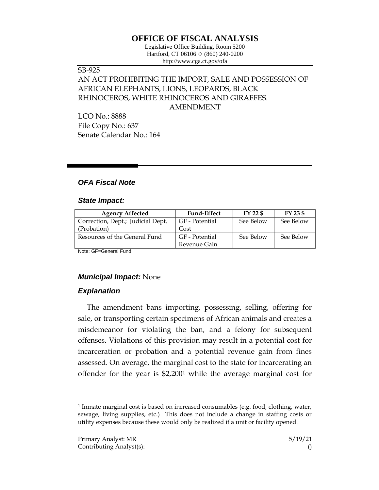# **OFFICE OF FISCAL ANALYSIS**

Legislative Office Building, Room 5200 Hartford, CT 06106 ◇ (860) 240-0200 http://www.cga.ct.gov/ofa

## SB-925

# AN ACT PROHIBITING THE IMPORT, SALE AND POSSESSION OF AFRICAN ELEPHANTS, LIONS, LEOPARDS, BLACK RHINOCEROS, WHITE RHINOCEROS AND GIRAFFES. AMENDMENT

LCO No.: 8888 File Copy No.: 637 Senate Calendar No.: 164

# *OFA Fiscal Note*

#### *State Impact:*

| <b>Agency Affected</b>            | <b>Fund-Effect</b> | $FY$ 22 $$$ | $FY$ 23 \$ |
|-----------------------------------|--------------------|-------------|------------|
| Correction, Dept.; Judicial Dept. | GF - Potential     | See Below   | See Below  |
| (Probation)                       | Cost               |             |            |
| Resources of the General Fund     | GF - Potential     | See Below   | See Below  |
|                                   | Revenue Gain       |             |            |

Note: GF=General Fund

## *Municipal Impact:* None

## *Explanation*

The amendment bans importing, possessing, selling, offering for sale, or transporting certain specimens of African animals and creates a misdemeanor for violating the ban, and a felony for subsequent offenses. Violations of this provision may result in a potential cost for incarceration or probation and a potential revenue gain from fines assessed. On average, the marginal cost to the state for incarcerating an offender for the year is \$2,200<sup>1</sup> while the average marginal cost for

 $\overline{a}$ 

<sup>1</sup> Inmate marginal cost is based on increased consumables (e.g. food, clothing, water, sewage, living supplies, etc.) This does not include a change in staffing costs or utility expenses because these would only be realized if a unit or facility opened.